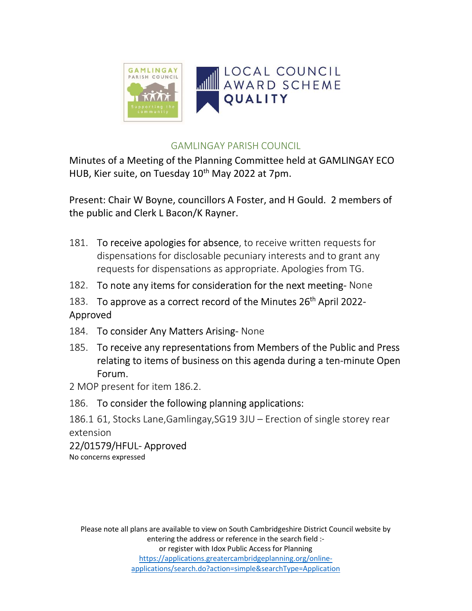

### GAMLINGAY PARISH COUNCIL

Minutes of a Meeting of the Planning Committee held at GAMLINGAY ECO HUB, Kier suite, on Tuesday 10<sup>th</sup> May 2022 at 7pm.

Present: Chair W Boyne, councillors A Foster, and H Gould. 2 members of the public and Clerk L Bacon/K Rayner.

- 181. To receive apologies for absence, to receive written requests for dispensations for disclosable pecuniary interests and to grant any requests for dispensations as appropriate. Apologies from TG.
- 182. To note any items for consideration for the next meeting- None
- 183. To approve as a correct record of the Minutes 26<sup>th</sup> April 2022-Approved
- 184. To consider Any Matters Arising- None
- 185. To receive any representations from Members of the Public and Press relating to items of business on this agenda during a ten-minute Open Forum.
- 2 MOP present for item 186.2.
- 186. To consider the following planning applications:

186.1 61, Stocks Lane,Gamlingay,SG19 3JU – Erection of single storey rear extension

22/01579/HFUL- Approved No concerns expressed

Please note all plans are available to view on South Cambridgeshire District Council website by entering the address or reference in the search field :or register with Idox Public Access for Planning https://applications.greatercambridgeplanning.org/onlineapplications/search.do?action=simple&searchType=Application